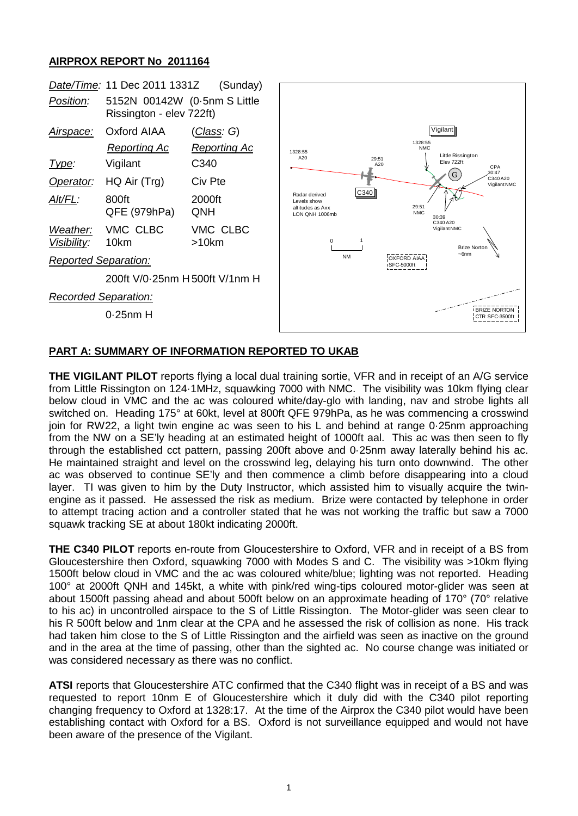## **AIRPROX REPORT No 2011164**



## **PART A: SUMMARY OF INFORMATION REPORTED TO UKAB**

**THE VIGILANT PILOT** reports flying a local dual training sortie, VFR and in receipt of an A/G service from Little Rissington on 124·1MHz, squawking 7000 with NMC. The visibility was 10km flying clear below cloud in VMC and the ac was coloured white/day-glo with landing, nav and strobe lights all switched on. Heading 175° at 60kt, level at 800ft QFE 979hPa, as he was commencing a crosswind join for RW22, a light twin engine ac was seen to his L and behind at range 0·25nm approaching from the NW on a SE'ly heading at an estimated height of 1000ft aal. This ac was then seen to fly through the established cct pattern, passing 200ft above and 0·25nm away laterally behind his ac. He maintained straight and level on the crosswind leg, delaying his turn onto downwind. The other ac was observed to continue SE'ly and then commence a climb before disappearing into a cloud layer. TI was given to him by the Duty Instructor, which assisted him to visually acquire the twinengine as it passed. He assessed the risk as medium. Brize were contacted by telephone in order to attempt tracing action and a controller stated that he was not working the traffic but saw a 7000 squawk tracking SE at about 180kt indicating 2000ft.

**THE C340 PILOT** reports en-route from Gloucestershire to Oxford, VFR and in receipt of a BS from Gloucestershire then Oxford, squawking 7000 with Modes S and C. The visibility was >10km flying 1500ft below cloud in VMC and the ac was coloured white/blue; lighting was not reported. Heading 100° at 2000ft QNH and 145kt, a white with pink/red wing-tips coloured motor-glider was seen at about 1500ft passing ahead and about 500ft below on an approximate heading of 170° (70° relative to his ac) in uncontrolled airspace to the S of Little Rissington. The Motor-glider was seen clear to his R 500ft below and 1nm clear at the CPA and he assessed the risk of collision as none. His track had taken him close to the S of Little Rissington and the airfield was seen as inactive on the ground and in the area at the time of passing, other than the sighted ac. No course change was initiated or was considered necessary as there was no conflict.

**ATSI** reports that Gloucestershire ATC confirmed that the C340 flight was in receipt of a BS and was requested to report 10nm E of Gloucestershire which it duly did with the C340 pilot reporting changing frequency to Oxford at 1328:17. At the time of the Airprox the C340 pilot would have been establishing contact with Oxford for a BS. Oxford is not surveillance equipped and would not have been aware of the presence of the Vigilant.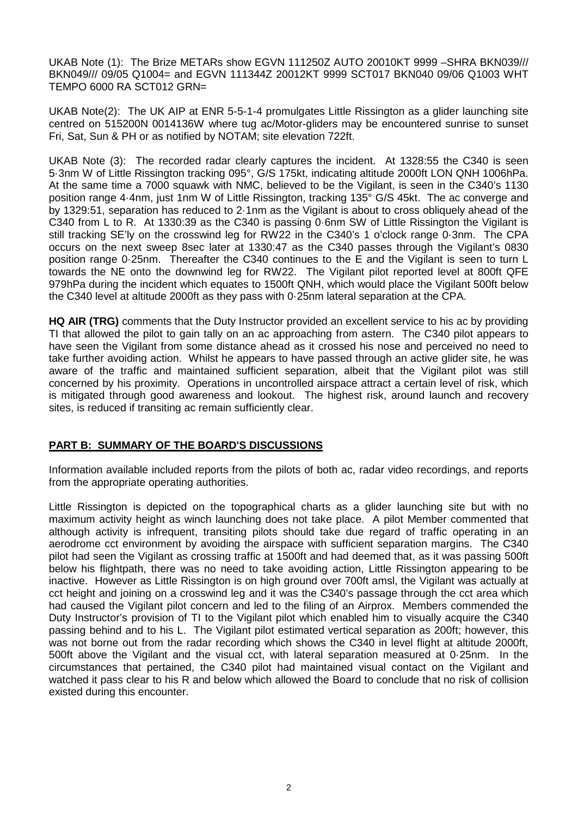UKAB Note (1): The Brize METARs show EGVN 111250Z AUTO 20010KT 9999 –SHRA BKN039/// BKN049/// 09/05 Q1004= and EGVN 111344Z 20012KT 9999 SCT017 BKN040 09/06 Q1003 WHT TEMPO 6000 RA SCT012 GRN=

UKAB Note(2): The UK AIP at ENR 5-5-1-4 promulgates Little Rissington as a glider launching site centred on 515200N 0014136W where tug ac/Motor-gliders may be encountered sunrise to sunset Fri, Sat, Sun & PH or as notified by NOTAM; site elevation 722ft.

UKAB Note (3): The recorded radar clearly captures the incident. At 1328:55 the C340 is seen 5·3nm W of Little Rissington tracking 095°, G/S 175kt, indicating altitude 2000ft LON QNH 1006hPa. At the same time a 7000 squawk with NMC, believed to be the Vigilant, is seen in the C340's 1130 position range 4·4nm, just 1nm W of Little Rissington, tracking 135° G/S 45kt. The ac converge and by 1329:51, separation has reduced to 2·1nm as the Vigilant is about to cross obliquely ahead of the C340 from L to R. At 1330:39 as the C340 is passing 0·6nm SW of Little Rissington the Vigilant is still tracking SE'ly on the crosswind leg for RW22 in the C340's 1 o'clock range 0·3nm. The CPA occurs on the next sweep 8sec later at 1330:47 as the C340 passes through the Vigilant's 0830 position range 0·25nm. Thereafter the C340 continues to the E and the Vigilant is seen to turn L towards the NE onto the downwind leg for RW22. The Vigilant pilot reported level at 800ft QFE 979hPa during the incident which equates to 1500ft QNH, which would place the Vigilant 500ft below the C340 level at altitude 2000ft as they pass with 0·25nm lateral separation at the CPA.

**HQ AIR (TRG)** comments that the Duty Instructor provided an excellent service to his ac by providing TI that allowed the pilot to gain tally on an ac approaching from astern. The C340 pilot appears to have seen the Vigilant from some distance ahead as it crossed his nose and perceived no need to take further avoiding action. Whilst he appears to have passed through an active glider site, he was aware of the traffic and maintained sufficient separation, albeit that the Vigilant pilot was still concerned by his proximity. Operations in uncontrolled airspace attract a certain level of risk, which is mitigated through good awareness and lookout. The highest risk, around launch and recovery sites, is reduced if transiting ac remain sufficiently clear.

## **PART B: SUMMARY OF THE BOARD'S DISCUSSIONS**

Information available included reports from the pilots of both ac, radar video recordings, and reports from the appropriate operating authorities.

Little Rissington is depicted on the topographical charts as a glider launching site but with no maximum activity height as winch launching does not take place. A pilot Member commented that although activity is infrequent, transiting pilots should take due regard of traffic operating in an aerodrome cct environment by avoiding the airspace with sufficient separation margins. The C340 pilot had seen the Vigilant as crossing traffic at 1500ft and had deemed that, as it was passing 500ft below his flightpath, there was no need to take avoiding action, Little Rissington appearing to be inactive. However as Little Rissington is on high ground over 700ft amsl, the Vigilant was actually at cct height and joining on a crosswind leg and it was the C340's passage through the cct area which had caused the Vigilant pilot concern and led to the filing of an Airprox. Members commended the Duty Instructor's provision of TI to the Vigilant pilot which enabled him to visually acquire the C340 passing behind and to his L. The Vigilant pilot estimated vertical separation as 200ft; however, this was not borne out from the radar recording which shows the C340 in level flight at altitude 2000ft, 500ft above the Vigilant and the visual cct, with lateral separation measured at 0·25nm. In the circumstances that pertained, the C340 pilot had maintained visual contact on the Vigilant and watched it pass clear to his R and below which allowed the Board to conclude that no risk of collision existed during this encounter.